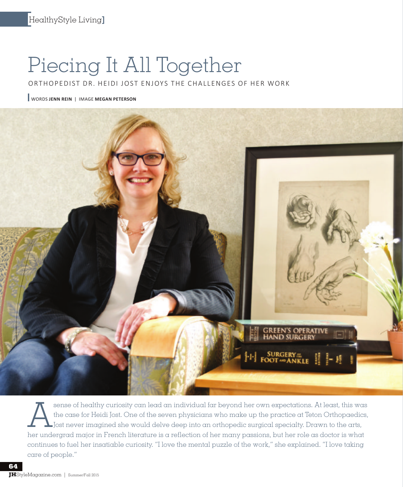## Piecing It All Together

ORTHOPEDIST DR. HEIDI JOST ENJOYS THE CHALLENGES OF HER WORK

WORDS **JENN REIN** | IMAGE **MEGAN PETERSON**



Sense of healthy curiosity can lead an individual far beyond her own expectations. At least, this was<br>the case for Heidi Jost. One of the seven physicians who make up the practice at Teton Orthopaedics,<br>Jost never imagined the case for Heidi Jost. One of the seven physicians who make up the practice at Teton Orthopaedics, Jost never imagined she would delve deep into an orthopedic surgical specialty. Drawn to the arts, her undergrad major in French literature is a reflection of her many passions, but her role as doctor is what continues to fuel her insatiable curiosity. "I love the mental puzzle of the work," she explained. "I love taking care of people."